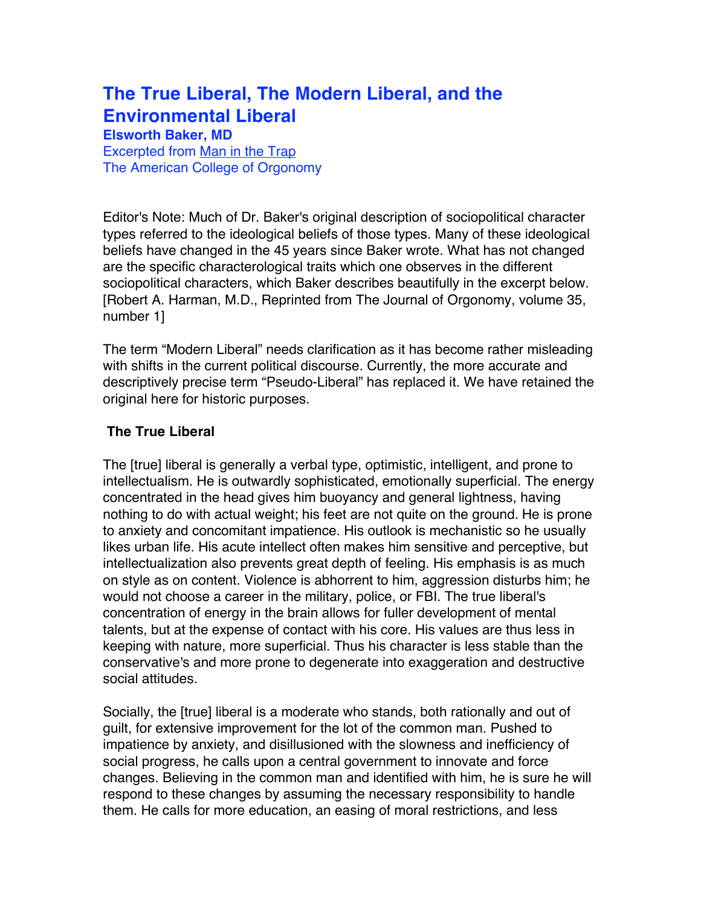# **The True Liberal, The Modern Liberal, and the Environmental Liberal**

**Elsworth Baker, MD**

Excerpted from Man in the Trap The American College of Orgonomy

Editor's Note: Much of Dr. Baker's original description of sociopolitical character types referred to the ideological beliefs of those types. Many of these ideological beliefs have changed in the 45 years since Baker wrote. What has not changed are the specific characterological traits which one observes in the different sociopolitical characters, which Baker describes beautifully in the excerpt below. [Robert A. Harman, M.D., Reprinted from The Journal of Orgonomy, volume 35, number 1]

The term "Modern Liberal" needs clarification as it has become rather misleading with shifts in the current political discourse. Currently, the more accurate and descriptively precise term "Pseudo-Liberal" has replaced it. We have retained the original here for historic purposes.

### **The True Liberal**

The [true] liberal is generally a verbal type, optimistic, intelligent, and prone to intellectualism. He is outwardly sophisticated, emotionally superficial. The energy concentrated in the head gives him buoyancy and general lightness, having nothing to do with actual weight; his feet are not quite on the ground. He is prone to anxiety and concomitant impatience. His outlook is mechanistic so he usually likes urban life. His acute intellect often makes him sensitive and perceptive, but intellectualization also prevents great depth of feeling. His emphasis is as much on style as on content. Violence is abhorrent to him, aggression disturbs him; he would not choose a career in the military, police, or FBI. The true liberal's concentration of energy in the brain allows for fuller development of mental talents, but at the expense of contact with his core. His values are thus less in keeping with nature, more superficial. Thus his character is less stable than the conservative's and more prone to degenerate into exaggeration and destructive social attitudes.

Socially, the [true] liberal is a moderate who stands, both rationally and out of guilt, for extensive improvement for the lot of the common man. Pushed to impatience by anxiety, and disillusioned with the slowness and inefficiency of social progress, he calls upon a central government to innovate and force changes. Believing in the common man and identified with him, he is sure he will respond to these changes by assuming the necessary responsibility to handle them. He calls for more education, an easing of moral restrictions, and less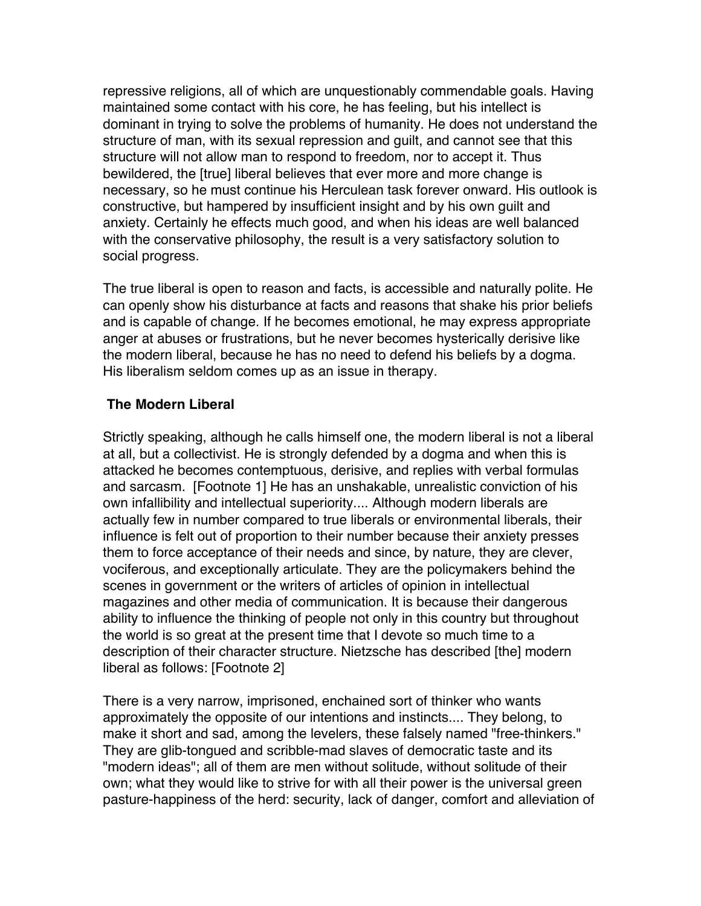repressive religions, all of which are unquestionably commendable goals. Having maintained some contact with his core, he has feeling, but his intellect is dominant in trying to solve the problems of humanity. He does not understand the structure of man, with its sexual repression and guilt, and cannot see that this structure will not allow man to respond to freedom, nor to accept it. Thus bewildered, the [true] liberal believes that ever more and more change is necessary, so he must continue his Herculean task forever onward. His outlook is constructive, but hampered by insufficient insight and by his own guilt and anxiety. Certainly he effects much good, and when his ideas are well balanced with the conservative philosophy, the result is a very satisfactory solution to social progress.

The true liberal is open to reason and facts, is accessible and naturally polite. He can openly show his disturbance at facts and reasons that shake his prior beliefs and is capable of change. If he becomes emotional, he may express appropriate anger at abuses or frustrations, but he never becomes hysterically derisive like the modern liberal, because he has no need to defend his beliefs by a dogma. His liberalism seldom comes up as an issue in therapy.

## **The Modern Liberal**

Strictly speaking, although he calls himself one, the modern liberal is not a liberal at all, but a collectivist. He is strongly defended by a dogma and when this is attacked he becomes contemptuous, derisive, and replies with verbal formulas and sarcasm. [Footnote 1] He has an unshakable, unrealistic conviction of his own infallibility and intellectual superiority.... Although modern liberals are actually few in number compared to true liberals or environmental liberals, their influence is felt out of proportion to their number because their anxiety presses them to force acceptance of their needs and since, by nature, they are clever, vociferous, and exceptionally articulate. They are the policymakers behind the scenes in government or the writers of articles of opinion in intellectual magazines and other media of communication. It is because their dangerous ability to influence the thinking of people not only in this country but throughout the world is so great at the present time that I devote so much time to a description of their character structure. Nietzsche has described [the] modern liberal as follows: [Footnote 2]

There is a very narrow, imprisoned, enchained sort of thinker who wants approximately the opposite of our intentions and instincts.... They belong, to make it short and sad, among the levelers, these falsely named "free-thinkers." They are glib-tongued and scribble-mad slaves of democratic taste and its "modern ideas"; all of them are men without solitude, without solitude of their own; what they would like to strive for with all their power is the universal green pasture-happiness of the herd: security, lack of danger, comfort and alleviation of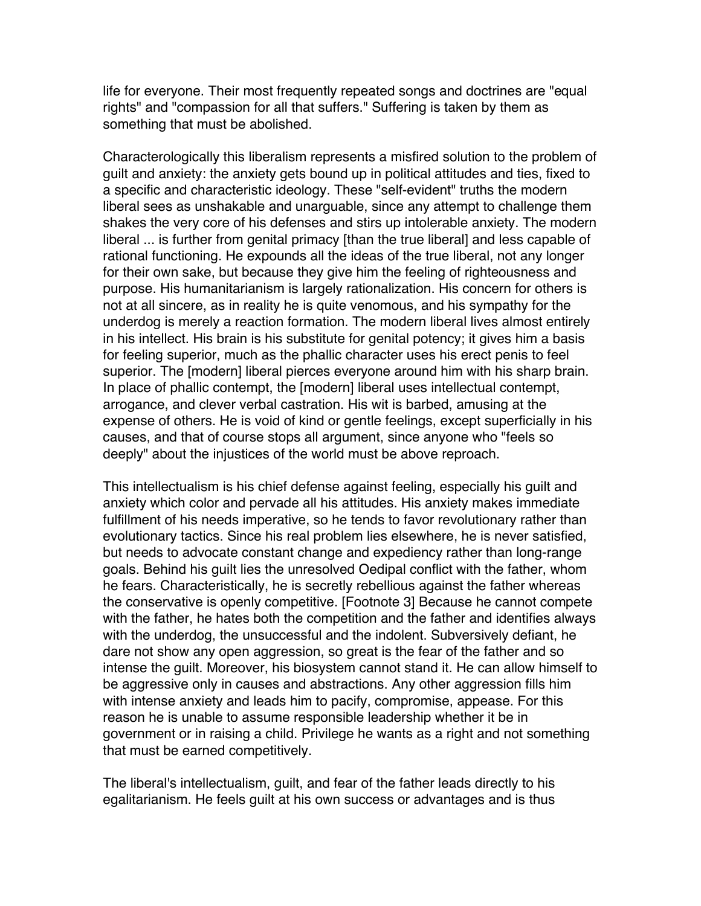life for everyone. Their most frequently repeated songs and doctrines are "equal rights" and "compassion for all that suffers." Suffering is taken by them as something that must be abolished.

Characterologically this liberalism represents a misfired solution to the problem of guilt and anxiety: the anxiety gets bound up in political attitudes and ties, fixed to a specific and characteristic ideology. These "self-evident" truths the modern liberal sees as unshakable and unarguable, since any attempt to challenge them shakes the very core of his defenses and stirs up intolerable anxiety. The modern liberal ... is further from genital primacy [than the true liberal] and less capable of rational functioning. He expounds all the ideas of the true liberal, not any longer for their own sake, but because they give him the feeling of righteousness and purpose. His humanitarianism is largely rationalization. His concern for others is not at all sincere, as in reality he is quite venomous, and his sympathy for the underdog is merely a reaction formation. The modern liberal lives almost entirely in his intellect. His brain is his substitute for genital potency; it gives him a basis for feeling superior, much as the phallic character uses his erect penis to feel superior. The [modern] liberal pierces everyone around him with his sharp brain. In place of phallic contempt, the [modern] liberal uses intellectual contempt, arrogance, and clever verbal castration. His wit is barbed, amusing at the expense of others. He is void of kind or gentle feelings, except superficially in his causes, and that of course stops all argument, since anyone who "feels so deeply" about the injustices of the world must be above reproach.

This intellectualism is his chief defense against feeling, especially his guilt and anxiety which color and pervade all his attitudes. His anxiety makes immediate fulfillment of his needs imperative, so he tends to favor revolutionary rather than evolutionary tactics. Since his real problem lies elsewhere, he is never satisfied, but needs to advocate constant change and expediency rather than long-range goals. Behind his guilt lies the unresolved Oedipal conflict with the father, whom he fears. Characteristically, he is secretly rebellious against the father whereas the conservative is openly competitive. [Footnote 3] Because he cannot compete with the father, he hates both the competition and the father and identifies always with the underdog, the unsuccessful and the indolent. Subversively defiant, he dare not show any open aggression, so great is the fear of the father and so intense the guilt. Moreover, his biosystem cannot stand it. He can allow himself to be aggressive only in causes and abstractions. Any other aggression fills him with intense anxiety and leads him to pacify, compromise, appease. For this reason he is unable to assume responsible leadership whether it be in government or in raising a child. Privilege he wants as a right and not something that must be earned competitively.

The liberal's intellectualism, guilt, and fear of the father leads directly to his egalitarianism. He feels guilt at his own success or advantages and is thus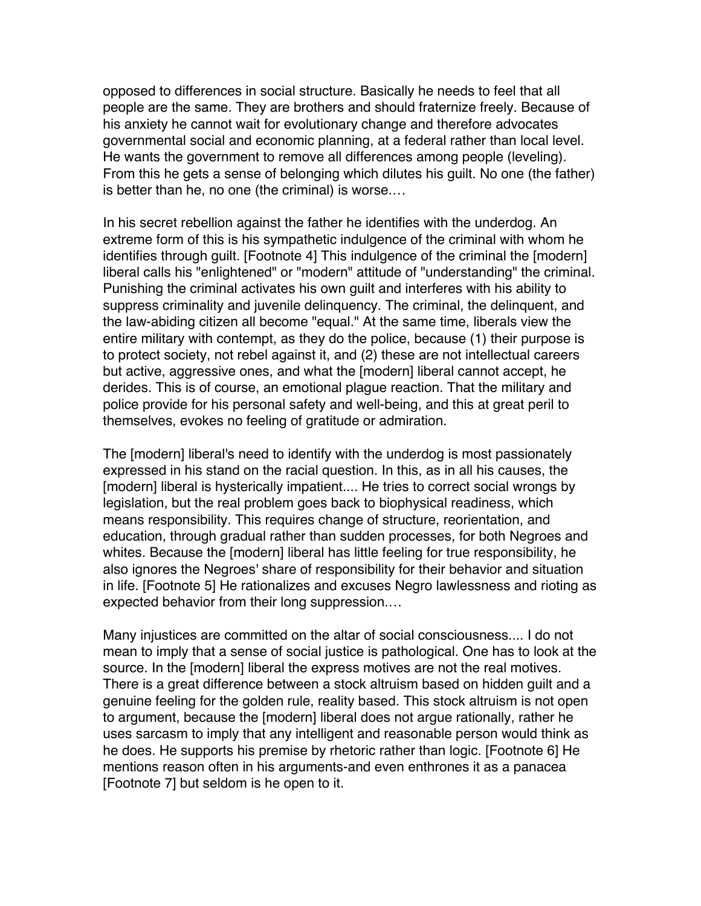opposed to differences in social structure. Basically he needs to feel that all people are the same. They are brothers and should fraternize freely. Because of his anxiety he cannot wait for evolutionary change and therefore advocates governmental social and economic planning, at a federal rather than local level. He wants the government to remove all differences among people (leveling). From this he gets a sense of belonging which dilutes his guilt. No one (the father) is better than he, no one (the criminal) is worse.…

In his secret rebellion against the father he identifies with the underdog. An extreme form of this is his sympathetic indulgence of the criminal with whom he identifies through guilt. [Footnote 4] This indulgence of the criminal the [modern] liberal calls his "enlightened" or "modern" attitude of "understanding" the criminal. Punishing the criminal activates his own guilt and interferes with his ability to suppress criminality and juvenile delinquency. The criminal, the delinquent, and the law-abiding citizen all become "equal." At the same time, liberals view the entire military with contempt, as they do the police, because (1) their purpose is to protect society, not rebel against it, and (2) these are not intellectual careers but active, aggressive ones, and what the [modern] liberal cannot accept, he derides. This is of course, an emotional plague reaction. That the military and police provide for his personal safety and well-being, and this at great peril to themselves, evokes no feeling of gratitude or admiration.

The [modern] liberal's need to identify with the underdog is most passionately expressed in his stand on the racial question. In this, as in all his causes, the [modern] liberal is hysterically impatient.... He tries to correct social wrongs by legislation, but the real problem goes back to biophysical readiness, which means responsibility. This requires change of structure, reorientation, and education, through gradual rather than sudden processes, for both Negroes and whites. Because the [modern] liberal has little feeling for true responsibility, he also ignores the Negroes' share of responsibility for their behavior and situation in life. [Footnote 5] He rationalizes and excuses Negro lawlessness and rioting as expected behavior from their long suppression.…

Many injustices are committed on the altar of social consciousness.... I do not mean to imply that a sense of social justice is pathological. One has to look at the source. In the [modern] liberal the express motives are not the real motives. There is a great difference between a stock altruism based on hidden guilt and a genuine feeling for the golden rule, reality based. This stock altruism is not open to argument, because the [modern] liberal does not argue rationally, rather he uses sarcasm to imply that any intelligent and reasonable person would think as he does. He supports his premise by rhetoric rather than logic. [Footnote 6] He mentions reason often in his arguments-and even enthrones it as a panacea [Footnote 7] but seldom is he open to it.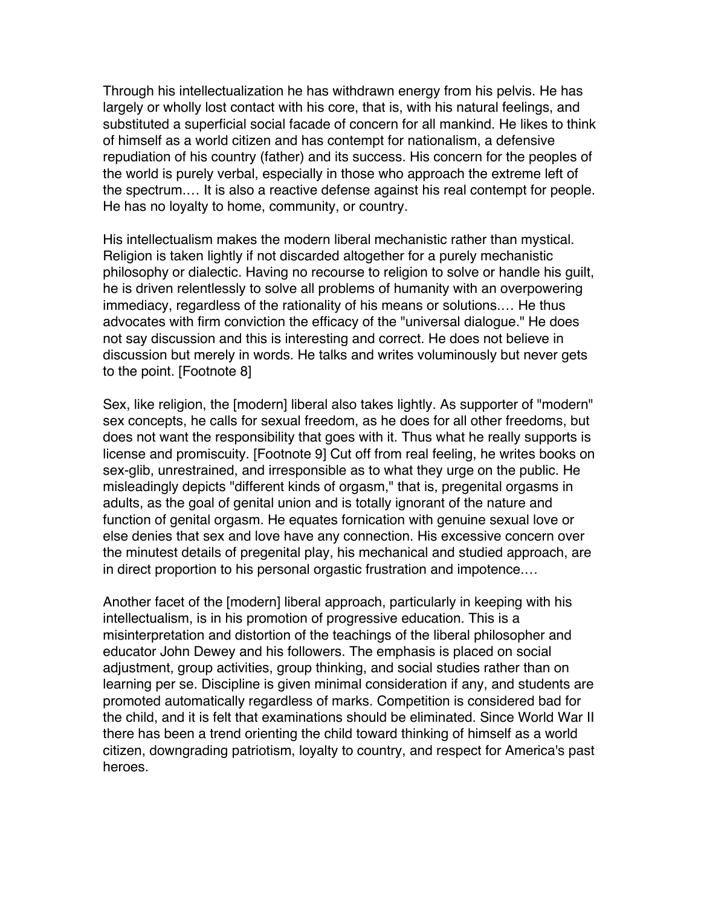Through his intellectualization he has withdrawn energy from his pelvis. He has largely or wholly lost contact with his core, that is, with his natural feelings, and substituted a superficial social facade of concern for all mankind. He likes to think of himself as a world citizen and has contempt for nationalism, a defensive repudiation of his country (father) and its success. His concern for the peoples of the world is purely verbal, especially in those who approach the extreme left of the spectrum.… It is also a reactive defense against his real contempt for people. He has no loyalty to home, community, or country.

His intellectualism makes the modern liberal mechanistic rather than mystical. Religion is taken lightly if not discarded altogether for a purely mechanistic philosophy or dialectic. Having no recourse to religion to solve or handle his guilt, he is driven relentlessly to solve all problems of humanity with an overpowering immediacy, regardless of the rationality of his means or solutions.… He thus advocates with firm conviction the efficacy of the "universal dialogue." He does not say discussion and this is interesting and correct. He does not believe in discussion but merely in words. He talks and writes voluminously but never gets to the point. [Footnote 8]

Sex, like religion, the [modern] liberal also takes lightly. As supporter of "modern" sex concepts, he calls for sexual freedom, as he does for all other freedoms, but does not want the responsibility that goes with it. Thus what he really supports is license and promiscuity. [Footnote 9] Cut off from real feeling, he writes books on sex-glib, unrestrained, and irresponsible as to what they urge on the public. He misleadingly depicts "different kinds of orgasm," that is, pregenital orgasms in adults, as the goal of genital union and is totally ignorant of the nature and function of genital orgasm. He equates fornication with genuine sexual love or else denies that sex and love have any connection. His excessive concern over the minutest details of pregenital play, his mechanical and studied approach, are in direct proportion to his personal orgastic frustration and impotence.…

Another facet of the [modern] liberal approach, particularly in keeping with his intellectualism, is in his promotion of progressive education. This is a misinterpretation and distortion of the teachings of the liberal philosopher and educator John Dewey and his followers. The emphasis is placed on social adjustment, group activities, group thinking, and social studies rather than on learning per se. Discipline is given minimal consideration if any, and students are promoted automatically regardless of marks. Competition is considered bad for the child, and it is felt that examinations should be eliminated. Since World War II there has been a trend orienting the child toward thinking of himself as a world citizen, downgrading patriotism, loyalty to country, and respect for America's past heroes.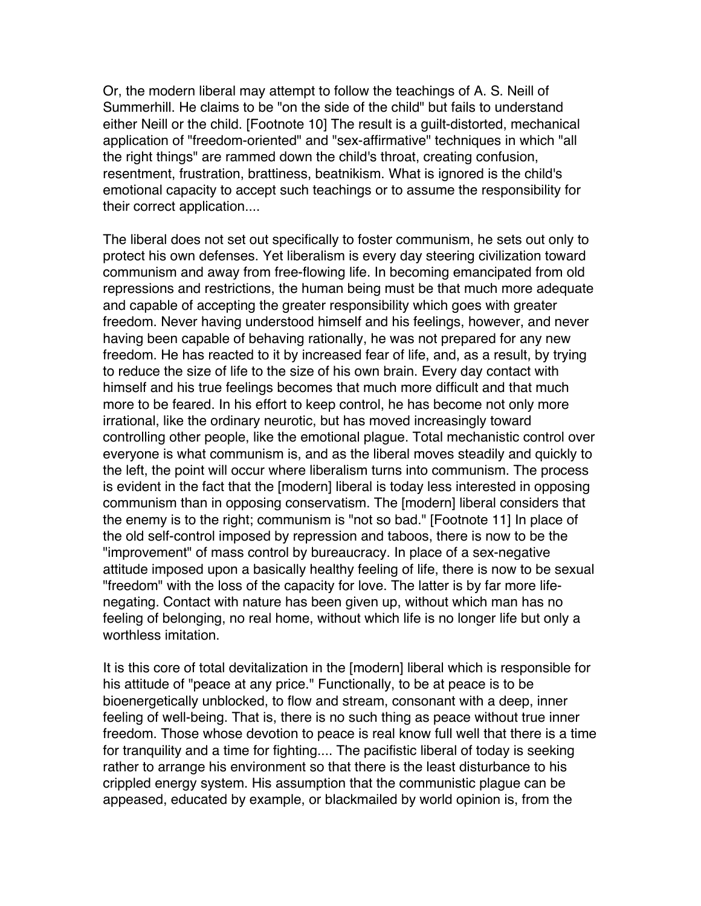Or, the modern liberal may attempt to follow the teachings of A. S. Neill of Summerhill. He claims to be "on the side of the child" but fails to understand either Neill or the child. [Footnote 10] The result is a guilt-distorted, mechanical application of "freedom-oriented" and "sex-affirmative" techniques in which "all the right things" are rammed down the child's throat, creating confusion, resentment, frustration, brattiness, beatnikism. What is ignored is the child's emotional capacity to accept such teachings or to assume the responsibility for their correct application....

The liberal does not set out specifically to foster communism, he sets out only to protect his own defenses. Yet liberalism is every day steering civilization toward communism and away from free-flowing life. In becoming emancipated from old repressions and restrictions, the human being must be that much more adequate and capable of accepting the greater responsibility which goes with greater freedom. Never having understood himself and his feelings, however, and never having been capable of behaving rationally, he was not prepared for any new freedom. He has reacted to it by increased fear of life, and, as a result, by trying to reduce the size of life to the size of his own brain. Every day contact with himself and his true feelings becomes that much more difficult and that much more to be feared. In his effort to keep control, he has become not only more irrational, like the ordinary neurotic, but has moved increasingly toward controlling other people, like the emotional plague. Total mechanistic control over everyone is what communism is, and as the liberal moves steadily and quickly to the left, the point will occur where liberalism turns into communism. The process is evident in the fact that the [modern] liberal is today less interested in opposing communism than in opposing conservatism. The [modern] liberal considers that the enemy is to the right; communism is "not so bad." [Footnote 11] In place of the old self-control imposed by repression and taboos, there is now to be the "improvement" of mass control by bureaucracy. In place of a sex-negative attitude imposed upon a basically healthy feeling of life, there is now to be sexual "freedom" with the loss of the capacity for love. The latter is by far more lifenegating. Contact with nature has been given up, without which man has no feeling of belonging, no real home, without which life is no longer life but only a worthless imitation.

It is this core of total devitalization in the [modern] liberal which is responsible for his attitude of "peace at any price." Functionally, to be at peace is to be bioenergetically unblocked, to flow and stream, consonant with a deep, inner feeling of well-being. That is, there is no such thing as peace without true inner freedom. Those whose devotion to peace is real know full well that there is a time for tranquility and a time for fighting.... The pacifistic liberal of today is seeking rather to arrange his environment so that there is the least disturbance to his crippled energy system. His assumption that the communistic plague can be appeased, educated by example, or blackmailed by world opinion is, from the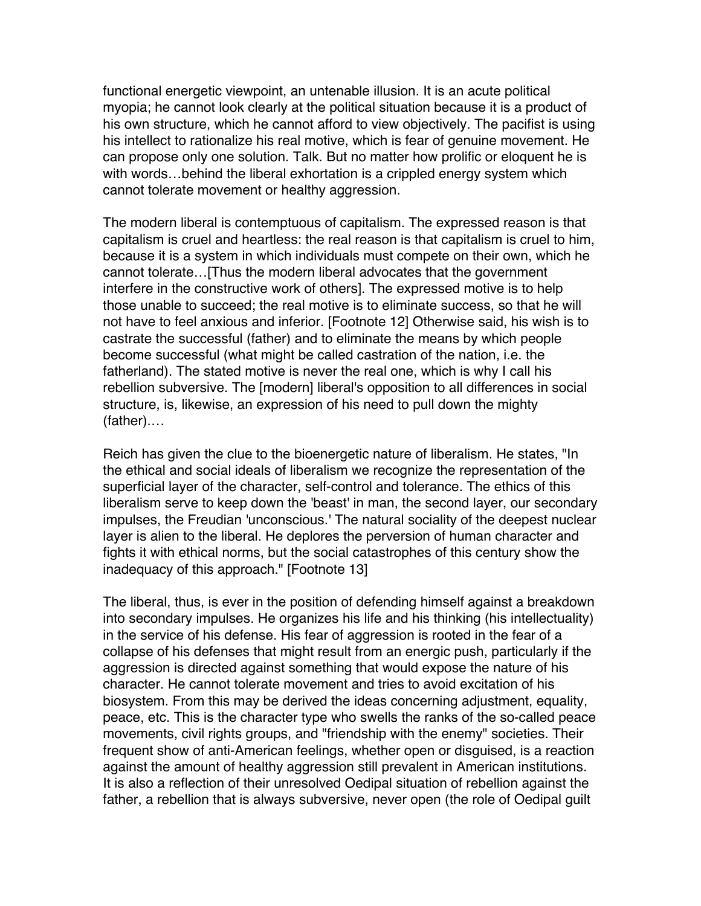functional energetic viewpoint, an untenable illusion. It is an acute political myopia; he cannot look clearly at the political situation because it is a product of his own structure, which he cannot afford to view objectively. The pacifist is using his intellect to rationalize his real motive, which is fear of genuine movement. He can propose only one solution. Talk. But no matter how prolific or eloquent he is with words…behind the liberal exhortation is a crippled energy system which cannot tolerate movement or healthy aggression.

The modern liberal is contemptuous of capitalism. The expressed reason is that capitalism is cruel and heartless: the real reason is that capitalism is cruel to him, because it is a system in which individuals must compete on their own, which he cannot tolerate…[Thus the modern liberal advocates that the government interfere in the constructive work of others]. The expressed motive is to help those unable to succeed; the real motive is to eliminate success, so that he will not have to feel anxious and inferior. [Footnote 12] Otherwise said, his wish is to castrate the successful (father) and to eliminate the means by which people become successful (what might be called castration of the nation, i.e. the fatherland). The stated motive is never the real one, which is why I call his rebellion subversive. The [modern] liberal's opposition to all differences in social structure, is, likewise, an expression of his need to pull down the mighty (father).…

Reich has given the clue to the bioenergetic nature of liberalism. He states, "In the ethical and social ideals of liberalism we recognize the representation of the superficial layer of the character, self-control and tolerance. The ethics of this liberalism serve to keep down the 'beast' in man, the second layer, our secondary impulses, the Freudian 'unconscious.' The natural sociality of the deepest nuclear layer is alien to the liberal. He deplores the perversion of human character and fights it with ethical norms, but the social catastrophes of this century show the inadequacy of this approach." [Footnote 13]

The liberal, thus, is ever in the position of defending himself against a breakdown into secondary impulses. He organizes his life and his thinking (his intellectuality) in the service of his defense. His fear of aggression is rooted in the fear of a collapse of his defenses that might result from an energic push, particularly if the aggression is directed against something that would expose the nature of his character. He cannot tolerate movement and tries to avoid excitation of his biosystem. From this may be derived the ideas concerning adjustment, equality, peace, etc. This is the character type who swells the ranks of the so-called peace movements, civil rights groups, and "friendship with the enemy" societies. Their frequent show of anti-American feelings, whether open or disguised, is a reaction against the amount of healthy aggression still prevalent in American institutions. It is also a reflection of their unresolved Oedipal situation of rebellion against the father, a rebellion that is always subversive, never open (the role of Oedipal guilt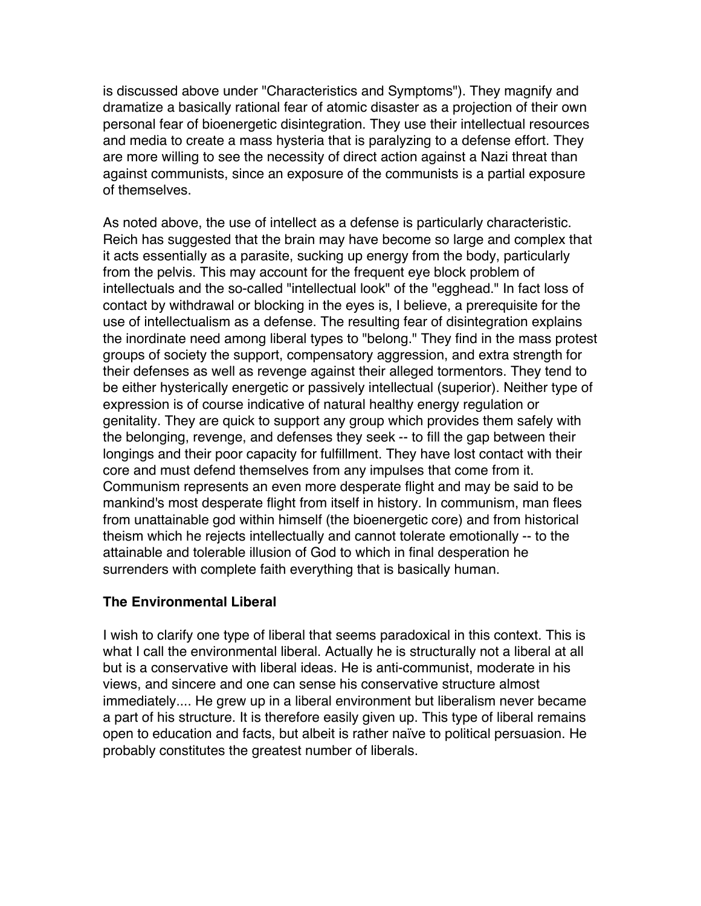is discussed above under "Characteristics and Symptoms"). They magnify and dramatize a basically rational fear of atomic disaster as a projection of their own personal fear of bioenergetic disintegration. They use their intellectual resources and media to create a mass hysteria that is paralyzing to a defense effort. They are more willing to see the necessity of direct action against a Nazi threat than against communists, since an exposure of the communists is a partial exposure of themselves.

As noted above, the use of intellect as a defense is particularly characteristic. Reich has suggested that the brain may have become so large and complex that it acts essentially as a parasite, sucking up energy from the body, particularly from the pelvis. This may account for the frequent eye block problem of intellectuals and the so-called "intellectual look" of the "egghead." In fact loss of contact by withdrawal or blocking in the eyes is, I believe, a prerequisite for the use of intellectualism as a defense. The resulting fear of disintegration explains the inordinate need among liberal types to "belong." They find in the mass protest groups of society the support, compensatory aggression, and extra strength for their defenses as well as revenge against their alleged tormentors. They tend to be either hysterically energetic or passively intellectual (superior). Neither type of expression is of course indicative of natural healthy energy regulation or genitality. They are quick to support any group which provides them safely with the belonging, revenge, and defenses they seek -- to fill the gap between their longings and their poor capacity for fulfillment. They have lost contact with their core and must defend themselves from any impulses that come from it. Communism represents an even more desperate flight and may be said to be mankind's most desperate flight from itself in history. In communism, man flees from unattainable god within himself (the bioenergetic core) and from historical theism which he rejects intellectually and cannot tolerate emotionally -- to the attainable and tolerable illusion of God to which in final desperation he surrenders with complete faith everything that is basically human.

### **The Environmental Liberal**

I wish to clarify one type of liberal that seems paradoxical in this context. This is what I call the environmental liberal. Actually he is structurally not a liberal at all but is a conservative with liberal ideas. He is anti-communist, moderate in his views, and sincere and one can sense his conservative structure almost immediately.... He grew up in a liberal environment but liberalism never became a part of his structure. It is therefore easily given up. This type of liberal remains open to education and facts, but albeit is rather naïve to political persuasion. He probably constitutes the greatest number of liberals.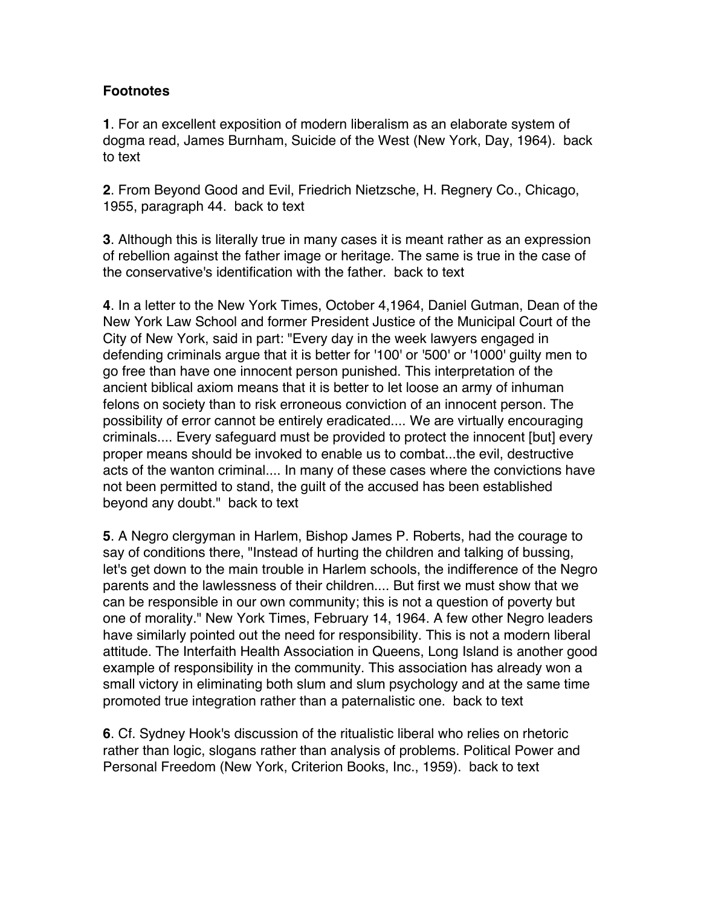## **Footnotes**

**1**. For an excellent exposition of modern liberalism as an elaborate system of dogma read, James Burnham, Suicide of the West (New York, Day, 1964). back to text

**2**. From Beyond Good and Evil, Friedrich Nietzsche, H. Regnery Co., Chicago, 1955, paragraph 44. back to text

**3**. Although this is literally true in many cases it is meant rather as an expression of rebellion against the father image or heritage. The same is true in the case of the conservative's identification with the father. back to text

**4**. In a letter to the New York Times, October 4,1964, Daniel Gutman, Dean of the New York Law School and former President Justice of the Municipal Court of the City of New York, said in part: "Every day in the week lawyers engaged in defending criminals argue that it is better for '100' or '500' or '1000' guilty men to go free than have one innocent person punished. This interpretation of the ancient biblical axiom means that it is better to let loose an army of inhuman felons on society than to risk erroneous conviction of an innocent person. The possibility of error cannot be entirely eradicated.... We are virtually encouraging criminals.... Every safeguard must be provided to protect the innocent [but] every proper means should be invoked to enable us to combat...the evil, destructive acts of the wanton criminal.... In many of these cases where the convictions have not been permitted to stand, the guilt of the accused has been established beyond any doubt." back to text

**5**. A Negro clergyman in Harlem, Bishop James P. Roberts, had the courage to say of conditions there, "Instead of hurting the children and talking of bussing, let's get down to the main trouble in Harlem schools, the indifference of the Negro parents and the lawlessness of their children.... But first we must show that we can be responsible in our own community; this is not a question of poverty but one of morality." New York Times, February 14, 1964. A few other Negro leaders have similarly pointed out the need for responsibility. This is not a modern liberal attitude. The Interfaith Health Association in Queens, Long Island is another good example of responsibility in the community. This association has already won a small victory in eliminating both slum and slum psychology and at the same time promoted true integration rather than a paternalistic one. back to text

**6**. Cf. Sydney Hook's discussion of the ritualistic liberal who relies on rhetoric rather than logic, slogans rather than analysis of problems. Political Power and Personal Freedom (New York, Criterion Books, Inc., 1959). back to text